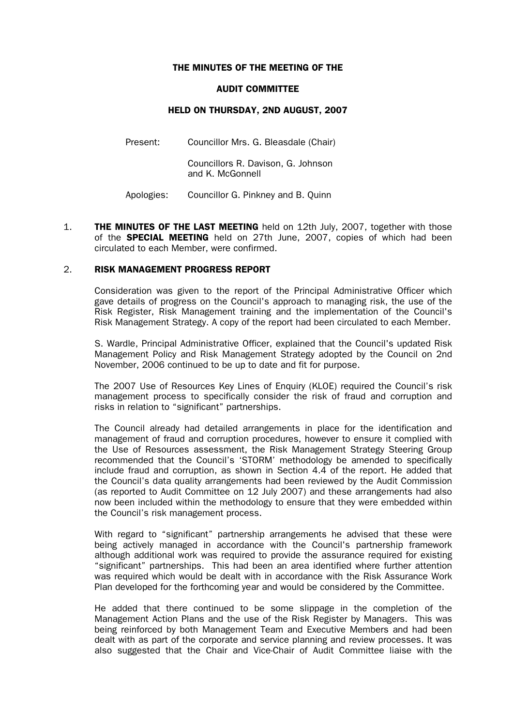### THE MINUTES OF THE MEETING OF THE

#### AUDIT COMMITTEE

# HELD ON THURSDAY, 2ND AUGUST, 2007

Present: Councillor Mrs. G. Bleasdale (Chair)

 Councillors R. Davison, G. Johnson and K. McGonnell

Apologies: Councillor G. Pinkney and B. Quinn

1. **THE MINUTES OF THE LAST MEETING** held on 12th July, 2007, together with those of the **SPECIAL MEETING** held on 27th June, 2007, copies of which had been circulated to each Member, were confirmed.

# 2. RISK MANAGEMENT PROGRESS REPORT

 Consideration was given to the report of the Principal Administrative Officer which gave details of progress on the Council's approach to managing risk, the use of the Risk Register, Risk Management training and the implementation of the Council's Risk Management Strategy. A copy of the report had been circulated to each Member.

 S. Wardle, Principal Administrative Officer, explained that the Council's updated Risk Management Policy and Risk Management Strategy adopted by the Council on 2nd November, 2006 continued to be up to date and fit for purpose.

The 2007 Use of Resources Key Lines of Enquiry (KLOE) required the Council's risk management process to specifically consider the risk of fraud and corruption and risks in relation to "significant" partnerships.

The Council already had detailed arrangements in place for the identification and management of fraud and corruption procedures, however to ensure it complied with the Use of Resources assessment, the Risk Management Strategy Steering Group recommended that the Council's 'STORM' methodology be amended to specifically include fraud and corruption, as shown in Section 4.4 of the report. He added that the Council's data quality arrangements had been reviewed by the Audit Commission (as reported to Audit Committee on 12 July 2007) and these arrangements had also now been included within the methodology to ensure that they were embedded within the Council's risk management process.

With regard to "significant" partnership arrangements he advised that these were being actively managed in accordance with the Council's partnership framework although additional work was required to provide the assurance required for existing "significant" partnerships. This had been an area identified where further attention was required which would be dealt with in accordance with the Risk Assurance Work Plan developed for the forthcoming year and would be considered by the Committee.

 He added that there continued to be some slippage in the completion of the Management Action Plans and the use of the Risk Register by Managers. This was being reinforced by both Management Team and Executive Members and had been dealt with as part of the corporate and service planning and review processes. It was also suggested that the Chair and Vice-Chair of Audit Committee liaise with the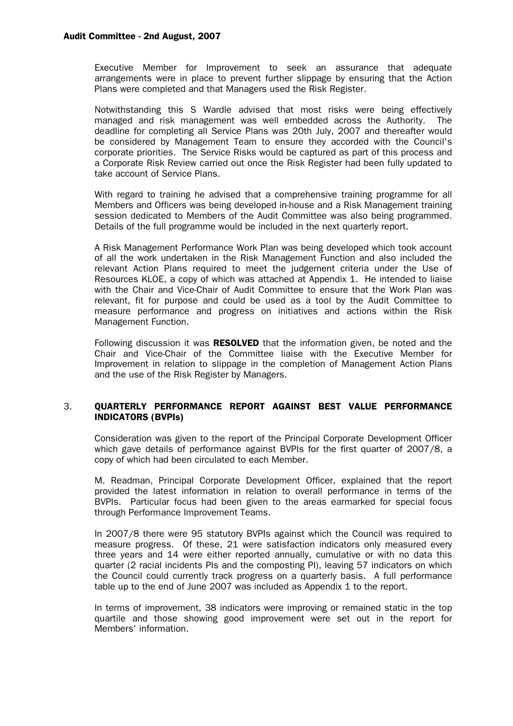### Audit Committee - 2nd August, 2007

Executive Member for Improvement to seek an assurance that adequate arrangements were in place to prevent further slippage by ensuring that the Action Plans were completed and that Managers used the Risk Register.

 Notwithstanding this S Wardle advised that most risks were being effectively managed and risk management was well embedded across the Authority. The deadline for completing all Service Plans was 20th July, 2007 and thereafter would be considered by Management Team to ensure they accorded with the Council's corporate priorities. The Service Risks would be captured as part of this process and a Corporate Risk Review carried out once the Risk Register had been fully updated to take account of Service Plans.

 With regard to training he advised that a comprehensive training programme for all Members and Officers was being developed in-house and a Risk Management training session dedicated to Members of the Audit Committee was also being programmed. Details of the full programme would be included in the next quarterly report.

 A Risk Management Performance Work Plan was being developed which took account of all the work undertaken in the Risk Management Function and also included the relevant Action Plans required to meet the judgement criteria under the Use of Resources KLOE, a copy of which was attached at Appendix 1. He intended to liaise with the Chair and Vice-Chair of Audit Committee to ensure that the Work Plan was relevant, fit for purpose and could be used as a tool by the Audit Committee to measure performance and progress on initiatives and actions within the Risk Management Function.

Following discussion it was **RESOLVED** that the information given, be noted and the Chair and Vice-Chair of the Committee liaise with the Executive Member for Improvement in relation to slippage in the completion of Management Action Plans and the use of the Risk Register by Managers.

# 3. QUARTERLY PERFORMANCE REPORT AGAINST BEST VALUE PERFORMANCE INDICATORS (BVPIs)

 Consideration was given to the report of the Principal Corporate Development Officer which gave details of performance against BVPIs for the first quarter of 2007/8, a copy of which had been circulated to each Member.

 M. Readman, Principal Corporate Development Officer, explained that the report provided the latest information in relation to overall performance in terms of the BVPIs. Particular focus had been given to the areas earmarked for special focus through Performance Improvement Teams.

 In 2007/8 there were 95 statutory BVPIs against which the Council was required to measure progress. Of these, 21 were satisfaction indicators only measured every three years and 14 were either reported annually, cumulative or with no data this quarter (2 racial incidents PIs and the composting PI), leaving 57 indicators on which the Council could currently track progress on a quarterly basis. A full performance table up to the end of June 2007 was included as Appendix 1 to the report.

In terms of improvement, 38 indicators were improving or remained static in the top quartile and those showing good improvement were set out in the report for Members' information.